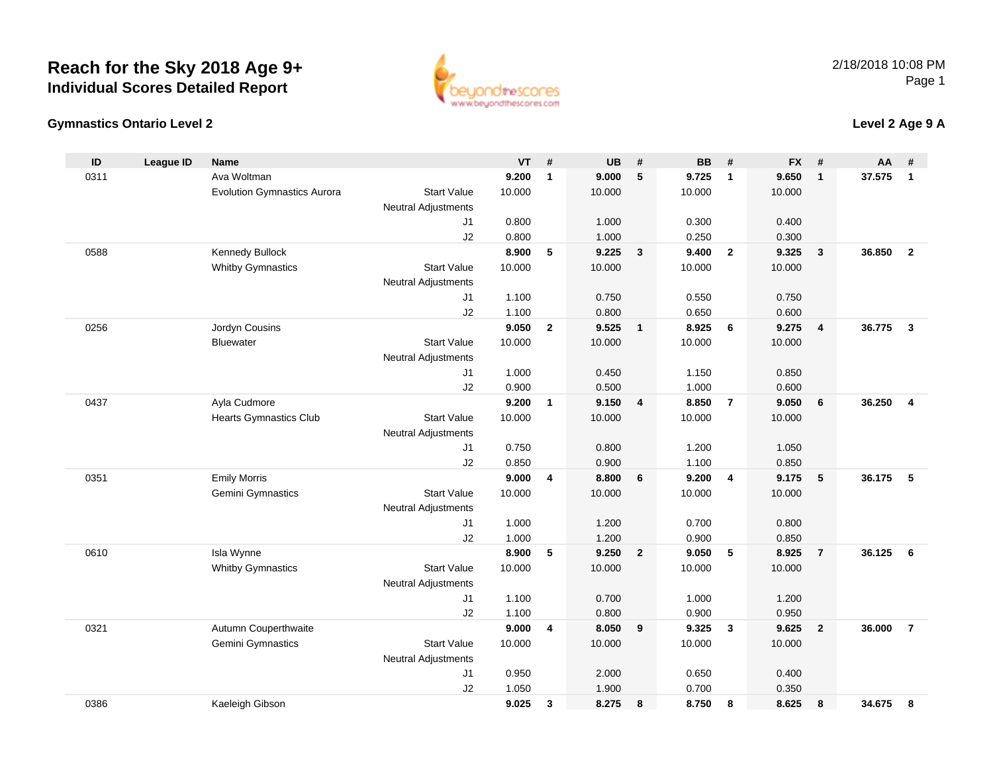



### **Level 2 Age 9 A**

| ID   | <b>League ID</b> | <b>Name</b>                        |                            | VT             | #            | <b>UB</b>      | #                       | <b>BB</b>      | #              | <b>FX</b>      | #              | AA     | #              |
|------|------------------|------------------------------------|----------------------------|----------------|--------------|----------------|-------------------------|----------------|----------------|----------------|----------------|--------|----------------|
| 0311 |                  | Ava Woltman                        |                            | 9.200          | $\mathbf{1}$ | 9.000          | 5                       | 9.725          | $\mathbf{1}$   | 9.650          | $\mathbf{1}$   | 37.575 | $\mathbf{1}$   |
|      |                  | <b>Evolution Gymnastics Aurora</b> | <b>Start Value</b>         | 10.000         |              | 10.000         |                         | 10.000         |                | 10.000         |                |        |                |
|      |                  |                                    | Neutral Adjustments        |                |              |                |                         |                |                |                |                |        |                |
|      |                  |                                    | J1                         | 0.800          |              | 1.000          |                         | 0.300          |                | 0.400          |                |        |                |
|      |                  |                                    | J2                         | 0.800          |              | 1.000          |                         | 0.250          |                | 0.300          |                |        |                |
| 0588 |                  | Kennedy Bullock                    |                            | 8.900          | 5            | 9.225          | $\mathbf{3}$            | 9.400          | $\overline{2}$ | 9.325          | $\mathbf{3}$   | 36.850 | $\overline{2}$ |
|      |                  | <b>Whitby Gymnastics</b>           | <b>Start Value</b>         | 10.000         |              | 10.000         |                         | 10.000         |                | 10.000         |                |        |                |
|      |                  |                                    | Neutral Adjustments        |                |              |                |                         |                |                |                |                |        |                |
|      |                  |                                    | J1                         | 1.100          |              | 0.750          |                         | 0.550          |                | 0.750          |                |        |                |
|      |                  |                                    | J2                         | 1.100          |              | 0.800          |                         | 0.650          |                | 0.600          |                |        |                |
| 0256 |                  | Jordyn Cousins                     |                            | 9.050          | $\mathbf{2}$ | 9.525          | $\overline{\mathbf{1}}$ | 8.925          | 6              | 9.275          | $\overline{4}$ | 36.775 | $\mathbf{3}$   |
|      |                  | <b>Bluewater</b>                   | <b>Start Value</b>         | 10.000         |              | 10.000         |                         | 10.000         |                | 10.000         |                |        |                |
|      |                  |                                    | Neutral Adjustments        |                |              |                |                         |                |                |                |                |        |                |
|      |                  |                                    | J1                         | 1.000          |              | 0.450          |                         | 1.150          |                | 0.850          |                |        |                |
|      |                  |                                    | J2                         | 0.900          |              | 0.500          |                         | 1.000          |                | 0.600          |                |        |                |
| 0437 |                  | Ayla Cudmore                       |                            | 9.200          | $\mathbf{1}$ | 9.150          | $\overline{4}$          | 8.850          | $\overline{7}$ | 9.050          | 6              | 36.250 | $\overline{4}$ |
|      |                  | <b>Hearts Gymnastics Club</b>      | <b>Start Value</b>         | 10.000         |              | 10.000         |                         | 10.000         |                | 10.000         |                |        |                |
|      |                  |                                    | Neutral Adjustments        |                |              |                |                         |                |                |                |                |        |                |
|      |                  |                                    | J <sub>1</sub>             | 0.750          |              | 0.800          |                         | 1.200          |                | 1.050          |                |        |                |
|      |                  |                                    | J2                         | 0.850          |              | 0.900          |                         | 1.100          |                | 0.850          |                |        |                |
| 0351 |                  | <b>Emily Morris</b>                |                            | 9.000          | 4            | 8.800          | 6                       | 9.200          | $\overline{4}$ | 9.175          | 5              | 36.175 | 5              |
|      |                  | Gemini Gymnastics                  | <b>Start Value</b>         | 10.000         |              | 10.000         |                         | 10.000         |                | 10.000         |                |        |                |
|      |                  |                                    | Neutral Adjustments        |                |              |                |                         |                |                |                |                |        |                |
|      |                  |                                    | J1                         | 1.000          |              | 1.200          |                         | 0.700          |                | 0.800          |                |        |                |
| 0610 |                  | Isla Wynne                         | J2                         | 1.000<br>8.900 | 5            | 1.200<br>9.250 | $\overline{2}$          | 0.900<br>9.050 | 5              | 0.850<br>8.925 | $\overline{7}$ | 36.125 | 6              |
|      |                  | <b>Whitby Gymnastics</b>           | <b>Start Value</b>         | 10.000         |              | 10.000         |                         | 10.000         |                | 10.000         |                |        |                |
|      |                  |                                    | <b>Neutral Adjustments</b> |                |              |                |                         |                |                |                |                |        |                |
|      |                  |                                    | J1                         | 1.100          |              | 0.700          |                         | 1.000          |                | 1.200          |                |        |                |
|      |                  |                                    | J2                         | 1.100          |              | 0.800          |                         | 0.900          |                | 0.950          |                |        |                |
| 0321 |                  | Autumn Couperthwaite               |                            | 9.000          | 4            | 8.050          | 9                       | 9.325          | $\mathbf{3}$   | 9.625          | $\overline{2}$ | 36.000 | $\overline{7}$ |
|      |                  | Gemini Gymnastics                  | <b>Start Value</b>         | 10.000         |              | 10.000         |                         | 10.000         |                | 10.000         |                |        |                |
|      |                  |                                    | <b>Neutral Adjustments</b> |                |              |                |                         |                |                |                |                |        |                |
|      |                  |                                    | J1                         | 0.950          |              | 2.000          |                         | 0.650          |                | 0.400          |                |        |                |
|      |                  |                                    | J2                         | 1.050          |              | 1.900          |                         | 0.700          |                | 0.350          |                |        |                |
| 0386 |                  | Kaeleigh Gibson                    |                            | 9.025          | 3            | 8.275          | 8                       | 8.750          | 8              | 8.625          | 8              | 34.675 | 8              |
|      |                  |                                    |                            |                |              |                |                         |                |                |                |                |        |                |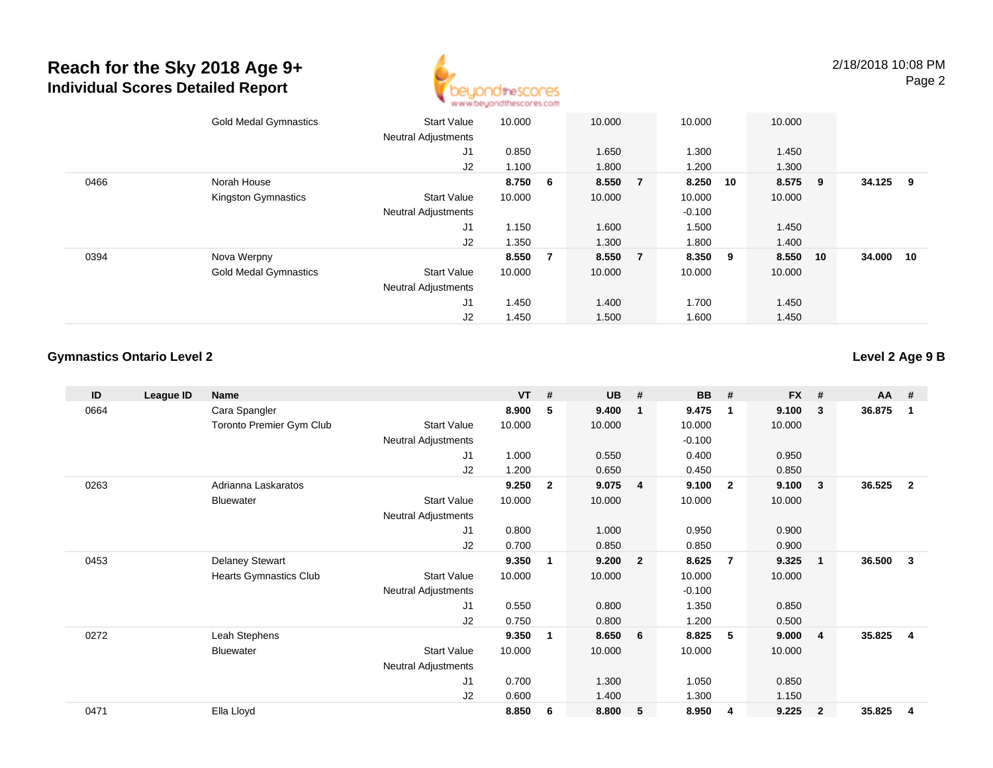

|      | <b>Gold Medal Gymnastics</b> | <b>Start Value</b>         | 10.000  |                | 10.000 |                | 10.000   | 10.000       |     |        |     |
|------|------------------------------|----------------------------|---------|----------------|--------|----------------|----------|--------------|-----|--------|-----|
|      |                              | <b>Neutral Adjustments</b> |         |                |        |                |          |              |     |        |     |
|      |                              | J1                         | 0.850   |                | 1.650  |                | 1.300    | 1.450        |     |        |     |
|      |                              | J <sub>2</sub>             | 1.100   |                | 1.800  |                | 1.200    | 1.300        |     |        |     |
| 0466 | Norah House                  |                            | 8.750 6 |                | 8.550  | $\overline{7}$ | 8.250    | 8.575<br>10  | - 9 | 34.125 | - 9 |
|      | Kingston Gymnastics          | <b>Start Value</b>         | 10.000  |                | 10.000 |                | 10.000   | 10.000       |     |        |     |
|      |                              | <b>Neutral Adjustments</b> |         |                |        |                | $-0.100$ |              |     |        |     |
|      |                              | J1                         | 1.150   |                | 1.600  |                | 1.500    | 1.450        |     |        |     |
|      |                              | J2                         | 1.350   |                | 1.300  |                | 1.800    | 1.400        |     |        |     |
| 0394 | Nova Werpny                  |                            | 8.550   | $\overline{7}$ | 8.550  | $\overline{7}$ | 8.350    | 8.550<br>- 9 | 10  | 34.000 | 10  |
|      | <b>Gold Medal Gymnastics</b> | Start Value                | 10.000  |                | 10.000 |                | 10.000   | 10.000       |     |        |     |
|      |                              | <b>Neutral Adjustments</b> |         |                |        |                |          |              |     |        |     |
|      |                              | J1                         | 1.450   |                | 1.400  |                | 1.700    | 1.450        |     |        |     |
|      |                              | J2                         | 1.450   |                | 1.500  |                | 1.600    | 1.450        |     |        |     |

### **Gymnastics Ontario Level 2**

**Level 2 Age 9 B**

| ID   | League ID | Name                          |                            | <b>VT</b> | #              | <b>UB</b> | #              | <b>BB</b> | #                       | <b>FX</b> | #              | AA #   |                |
|------|-----------|-------------------------------|----------------------------|-----------|----------------|-----------|----------------|-----------|-------------------------|-----------|----------------|--------|----------------|
| 0664 |           | Cara Spangler                 |                            | 8.900     | 5              | 9.400     | $\mathbf{1}$   | 9.475     | $\overline{\mathbf{1}}$ | 9.100     | 3              | 36.875 | -1             |
|      |           | Toronto Premier Gym Club      | <b>Start Value</b>         | 10.000    |                | 10.000    |                | 10.000    |                         | 10.000    |                |        |                |
|      |           |                               | <b>Neutral Adjustments</b> |           |                |           |                | $-0.100$  |                         |           |                |        |                |
|      |           |                               | J <sub>1</sub>             | 1.000     |                | 0.550     |                | 0.400     |                         | 0.950     |                |        |                |
|      |           |                               | J <sub>2</sub>             | 1.200     |                | 0.650     |                | 0.450     |                         | 0.850     |                |        |                |
| 0263 |           | Adrianna Laskaratos           |                            | 9.250     | $\overline{2}$ | 9.075     | $\overline{4}$ | 9.100     | $\overline{\mathbf{2}}$ | 9.100     | 3              | 36.525 | $\overline{2}$ |
|      |           | <b>Bluewater</b>              | <b>Start Value</b>         | 10.000    |                | 10.000    |                | 10.000    |                         | 10.000    |                |        |                |
|      |           |                               | Neutral Adjustments        |           |                |           |                |           |                         |           |                |        |                |
|      |           |                               | J <sub>1</sub>             | 0.800     |                | 1.000     |                | 0.950     |                         | 0.900     |                |        |                |
|      |           |                               | J2                         | 0.700     |                | 0.850     |                | 0.850     |                         | 0.900     |                |        |                |
| 0453 |           | <b>Delaney Stewart</b>        |                            | 9.350     | 1              | 9.200     | $\overline{2}$ | 8.625     | -7                      | 9.325     | $\mathbf{1}$   | 36.500 | 3              |
|      |           | <b>Hearts Gymnastics Club</b> | <b>Start Value</b>         | 10.000    |                | 10.000    |                | 10.000    |                         | 10.000    |                |        |                |
|      |           |                               | <b>Neutral Adjustments</b> |           |                |           |                | $-0.100$  |                         |           |                |        |                |
|      |           |                               | J1                         | 0.550     |                | 0.800     |                | 1.350     |                         | 0.850     |                |        |                |
|      |           |                               | J2                         | 0.750     |                | 0.800     |                | 1.200     |                         | 0.500     |                |        |                |
| 0272 |           | Leah Stephens                 |                            | 9.350     | 1              | 8.650     | 6              | 8.825     | 5                       | 9.000     | $\overline{4}$ | 35.825 | $\overline{4}$ |
|      |           | <b>Bluewater</b>              | <b>Start Value</b>         | 10.000    |                | 10.000    |                | 10.000    |                         | 10.000    |                |        |                |
|      |           |                               | <b>Neutral Adjustments</b> |           |                |           |                |           |                         |           |                |        |                |
|      |           |                               | J1                         | 0.700     |                | 1.300     |                | 1.050     |                         | 0.850     |                |        |                |
|      |           |                               | J2                         | 0.600     |                | 1.400     |                | 1.300     |                         | 1.150     |                |        |                |
| 0471 |           | Ella Lloyd                    |                            | 8.850     | 6              | 8.800     | 5              | 8.950     | 4                       | 9.225     | $\overline{2}$ | 35.825 | 4              |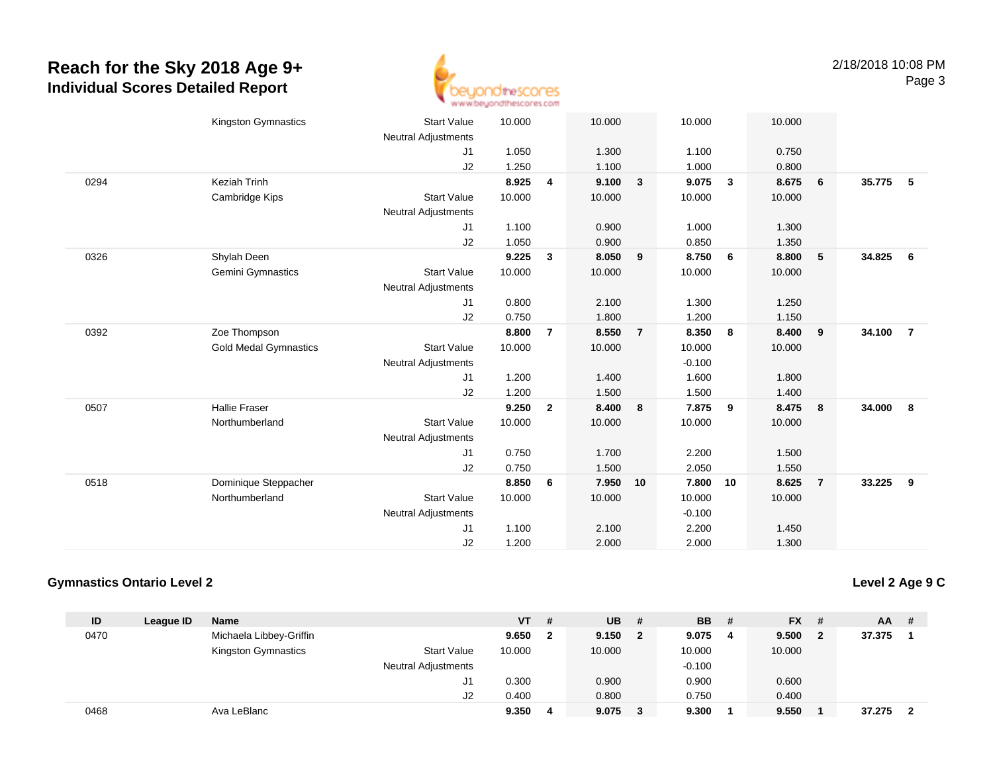

|      | <b>Kingston Gymnastics</b>   | <b>Start Value</b><br>Neutral Adjustments | 10.000 |                | 10.000 |                | 10.000   |              | 10.000 |                |          |                         |
|------|------------------------------|-------------------------------------------|--------|----------------|--------|----------------|----------|--------------|--------|----------------|----------|-------------------------|
|      |                              | J1                                        | 1.050  |                | 1.300  |                | 1.100    |              | 0.750  |                |          |                         |
|      |                              | J2                                        | 1.250  |                | 1.100  |                | 1.000    |              | 0.800  |                |          |                         |
| 0294 | Keziah Trinh                 |                                           | 8.925  | 4              | 9.100  | $\mathbf{3}$   | 9.075    | $\mathbf{3}$ | 8.675  | 6              | 35.775 5 |                         |
|      | Cambridge Kips               | <b>Start Value</b>                        | 10.000 |                | 10.000 |                | 10.000   |              | 10.000 |                |          |                         |
|      |                              | <b>Neutral Adjustments</b>                |        |                |        |                |          |              |        |                |          |                         |
|      |                              | J1                                        | 1.100  |                | 0.900  |                | 1.000    |              | 1.300  |                |          |                         |
|      |                              | J2                                        | 1.050  |                | 0.900  |                | 0.850    |              | 1.350  |                |          |                         |
| 0326 | Shylah Deen                  |                                           | 9.225  | $\mathbf{3}$   | 8.050  | 9              | 8.750    | 6            | 8.800  | $\sqrt{5}$     | 34.825   | 6                       |
|      | Gemini Gymnastics            | <b>Start Value</b>                        | 10.000 |                | 10.000 |                | 10.000   |              | 10.000 |                |          |                         |
|      |                              | <b>Neutral Adjustments</b>                |        |                |        |                |          |              |        |                |          |                         |
|      |                              | J1                                        | 0.800  |                | 2.100  |                | 1.300    |              | 1.250  |                |          |                         |
|      |                              | J2                                        | 0.750  |                | 1.800  |                | 1.200    |              | 1.150  |                |          |                         |
| 0392 | Zoe Thompson                 |                                           | 8.800  | $\overline{7}$ | 8.550  | $\overline{7}$ | 8.350    | 8            | 8.400  | 9              | 34.100   | $\overline{7}$          |
|      | <b>Gold Medal Gymnastics</b> | <b>Start Value</b>                        | 10.000 |                | 10.000 |                | 10.000   |              | 10.000 |                |          |                         |
|      |                              | <b>Neutral Adjustments</b>                |        |                |        |                | $-0.100$ |              |        |                |          |                         |
|      |                              | J1                                        | 1.200  |                | 1.400  |                | 1.600    |              | 1.800  |                |          |                         |
|      |                              | J <sub>2</sub>                            | 1.200  |                | 1.500  |                | 1.500    |              | 1.400  |                |          |                         |
| 0507 | <b>Hallie Fraser</b>         |                                           | 9.250  | $\overline{2}$ | 8.400  | 8              | 7.875    | 9            | 8.475  | 8              | 34.000   | $\overline{\mathbf{8}}$ |
|      | Northumberland               | <b>Start Value</b>                        | 10.000 |                | 10.000 |                | 10.000   |              | 10.000 |                |          |                         |
|      |                              | <b>Neutral Adjustments</b>                |        |                |        |                |          |              |        |                |          |                         |
|      |                              | J1                                        | 0.750  |                | 1.700  |                | 2.200    |              | 1.500  |                |          |                         |
|      |                              | J2                                        | 0.750  |                | 1.500  |                | 2.050    |              | 1.550  |                |          |                         |
| 0518 | Dominique Steppacher         |                                           | 8.850  | 6              | 7.950  | 10             | 7.800    | 10           | 8.625  | $\overline{7}$ | 33.225   | 9                       |
|      | Northumberland               | <b>Start Value</b>                        | 10.000 |                | 10.000 |                | 10.000   |              | 10.000 |                |          |                         |
|      |                              | <b>Neutral Adjustments</b>                |        |                |        |                | $-0.100$ |              |        |                |          |                         |
|      |                              | J <sub>1</sub>                            | 1.100  |                | 2.100  |                | 2.200    |              | 1.450  |                |          |                         |
|      |                              | J2                                        | 1.200  |                | 2.000  |                | 2.000    |              | 1.300  |                |          |                         |
|      |                              |                                           |        |                |        |                |          |              |        |                |          |                         |

#### **Gymnastics Ontario Level 2**

**Level 2 Age 9 C**

| ID   | League ID | Name                    |                            | VT     | # | <b>UB</b> | # | <b>BB</b> | - # | $FX$ # |   | <b>AA</b> | - # |
|------|-----------|-------------------------|----------------------------|--------|---|-----------|---|-----------|-----|--------|---|-----------|-----|
| 0470 |           | Michaela Libbey-Griffin |                            | 9.650  |   | 9.150     | 2 | 9.075     | 4   | 9.500  | 2 | 37.375    |     |
|      |           | Kingston Gymnastics     | <b>Start Value</b>         | 10.000 |   | 10.000    |   | 10.000    |     | 10.000 |   |           |     |
|      |           |                         | <b>Neutral Adjustments</b> |        |   |           |   | $-0.100$  |     |        |   |           |     |
|      |           |                         | J1                         | 0.300  |   | 0.900     |   | 0.900     |     | 0.600  |   |           |     |
|      |           |                         | J2                         | 0.400  |   | 0.800     |   | 0.750     |     | 0.400  |   |           |     |
| 0468 |           | Ava LeBlanc             |                            | 9.350  | 4 | 9.075     |   | 9.300     |     | 9.550  |   | 37.275    |     |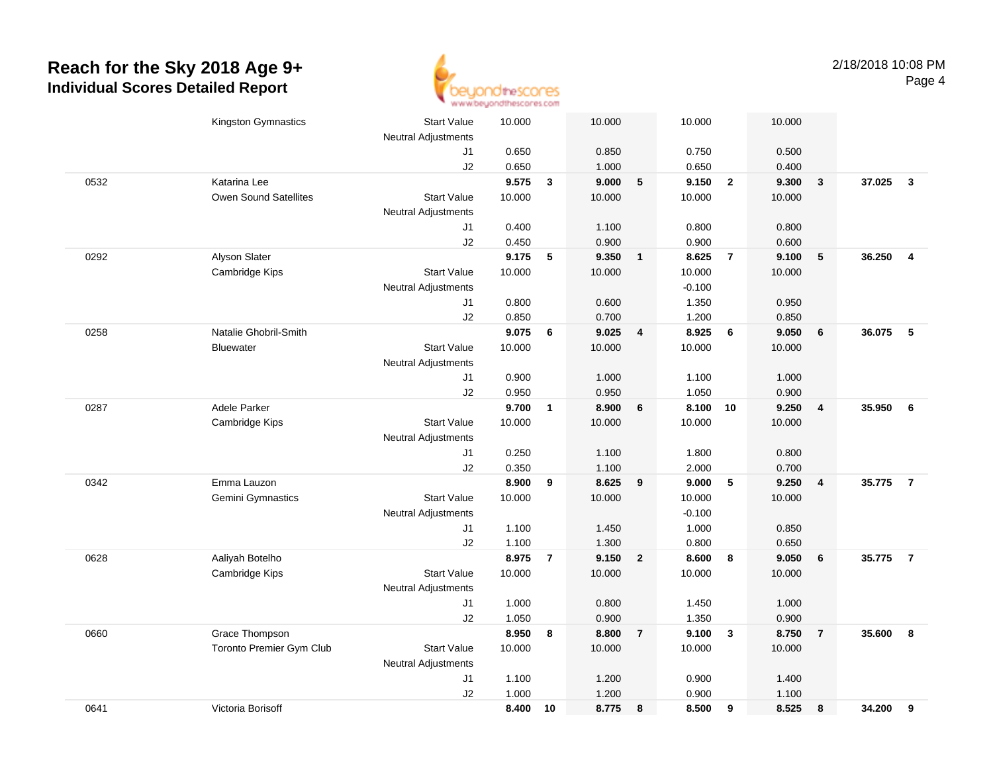

|      | Kingston Gymnastics      | <b>Start Value</b>         | 10.000 |                | 10.000 |                         | 10.000   |                | 10.000 |                         |        |                |
|------|--------------------------|----------------------------|--------|----------------|--------|-------------------------|----------|----------------|--------|-------------------------|--------|----------------|
|      |                          | <b>Neutral Adjustments</b> |        |                |        |                         |          |                |        |                         |        |                |
|      |                          | J1                         | 0.650  |                | 0.850  |                         | 0.750    |                | 0.500  |                         |        |                |
|      |                          | J2                         | 0.650  |                | 1.000  |                         | 0.650    |                | 0.400  |                         |        |                |
| 0532 | Katarina Lee             |                            | 9.575  | $\mathbf{3}$   | 9.000  | $\sqrt{5}$              | 9.150    | $\overline{2}$ | 9.300  | $\mathbf{3}$            | 37.025 | $\mathbf{3}$   |
|      | Owen Sound Satellites    | <b>Start Value</b>         | 10.000 |                | 10.000 |                         | 10.000   |                | 10.000 |                         |        |                |
|      |                          | <b>Neutral Adjustments</b> |        |                |        |                         |          |                |        |                         |        |                |
|      |                          | J1                         | 0.400  |                | 1.100  |                         | 0.800    |                | 0.800  |                         |        |                |
|      |                          | J2                         | 0.450  |                | 0.900  |                         | 0.900    |                | 0.600  |                         |        |                |
| 0292 | Alyson Slater            |                            | 9.175  | 5              | 9.350  | $\mathbf{1}$            | 8.625    | $\overline{7}$ | 9.100  | 5                       | 36.250 | $\overline{4}$ |
|      | Cambridge Kips           | <b>Start Value</b>         | 10.000 |                | 10.000 |                         | 10.000   |                | 10.000 |                         |        |                |
|      |                          | <b>Neutral Adjustments</b> |        |                |        |                         | $-0.100$ |                |        |                         |        |                |
|      |                          | J1                         | 0.800  |                | 0.600  |                         | 1.350    |                | 0.950  |                         |        |                |
|      |                          | J2                         | 0.850  |                | 0.700  |                         | 1.200    |                | 0.850  |                         |        |                |
| 0258 | Natalie Ghobril-Smith    |                            | 9.075  | 6              | 9.025  | $\overline{\mathbf{4}}$ | 8.925    | 6              | 9.050  | $\bf 6$                 | 36.075 | - 5            |
|      | <b>Bluewater</b>         | <b>Start Value</b>         | 10.000 |                | 10.000 |                         | 10.000   |                | 10.000 |                         |        |                |
|      |                          | <b>Neutral Adjustments</b> |        |                |        |                         |          |                |        |                         |        |                |
|      |                          | J1                         | 0.900  |                | 1.000  |                         | 1.100    |                | 1.000  |                         |        |                |
|      |                          | J2                         | 0.950  |                | 0.950  |                         | 1.050    |                | 0.900  |                         |        |                |
| 0287 | Adele Parker             |                            | 9.700  | $\mathbf{1}$   | 8.900  | 6                       | 8.100    | 10             | 9.250  | $\overline{4}$          | 35.950 | 6              |
|      | Cambridge Kips           | <b>Start Value</b>         | 10.000 |                | 10.000 |                         | 10.000   |                | 10.000 |                         |        |                |
|      |                          | <b>Neutral Adjustments</b> |        |                |        |                         |          |                |        |                         |        |                |
|      |                          | J1                         | 0.250  |                | 1.100  |                         | 1.800    |                | 0.800  |                         |        |                |
|      |                          | J2                         | 0.350  |                | 1.100  |                         | 2.000    |                | 0.700  |                         |        |                |
| 0342 | Emma Lauzon              |                            | 8.900  | 9              | 8.625  | 9                       | 9.000    | 5              | 9.250  | $\overline{\mathbf{4}}$ | 35.775 | $\overline{7}$ |
|      | Gemini Gymnastics        | <b>Start Value</b>         | 10.000 |                | 10.000 |                         | 10.000   |                | 10.000 |                         |        |                |
|      |                          | <b>Neutral Adjustments</b> |        |                |        |                         | $-0.100$ |                |        |                         |        |                |
|      |                          | J1                         | 1.100  |                | 1.450  |                         | 1.000    |                | 0.850  |                         |        |                |
|      |                          | J2                         | 1.100  |                | 1.300  |                         | 0.800    |                | 0.650  |                         |        |                |
| 0628 | Aaliyah Botelho          |                            | 8.975  | $\overline{7}$ | 9.150  | $\overline{2}$          | 8.600    | 8              | 9.050  | 6                       | 35.775 | $\overline{7}$ |
|      | Cambridge Kips           | <b>Start Value</b>         | 10.000 |                | 10.000 |                         | 10.000   |                | 10.000 |                         |        |                |
|      |                          | <b>Neutral Adjustments</b> |        |                |        |                         |          |                |        |                         |        |                |
|      |                          | J1                         | 1.000  |                | 0.800  |                         | 1.450    |                | 1.000  |                         |        |                |
|      |                          | J2                         | 1.050  |                | 0.900  |                         | 1.350    |                | 0.900  |                         |        |                |
| 0660 | Grace Thompson           |                            | 8.950  | 8              | 8.800  | $\overline{7}$          | 9.100    | $\mathbf{3}$   | 8.750  | $\overline{7}$          | 35.600 | 8              |
|      | Toronto Premier Gym Club | <b>Start Value</b>         | 10.000 |                | 10.000 |                         | 10.000   |                | 10.000 |                         |        |                |
|      |                          | <b>Neutral Adjustments</b> |        |                |        |                         |          |                |        |                         |        |                |
|      |                          | J1                         | 1.100  |                | 1.200  |                         | 0.900    |                | 1.400  |                         |        |                |
|      |                          | J2                         | 1.000  |                | 1.200  |                         | 0.900    |                | 1.100  |                         |        |                |
| 0641 | Victoria Borisoff        |                            | 8.400  | 10             | 8.775  | 8                       | 8.500    | 9              | 8.525  | 8                       | 34.200 | 9              |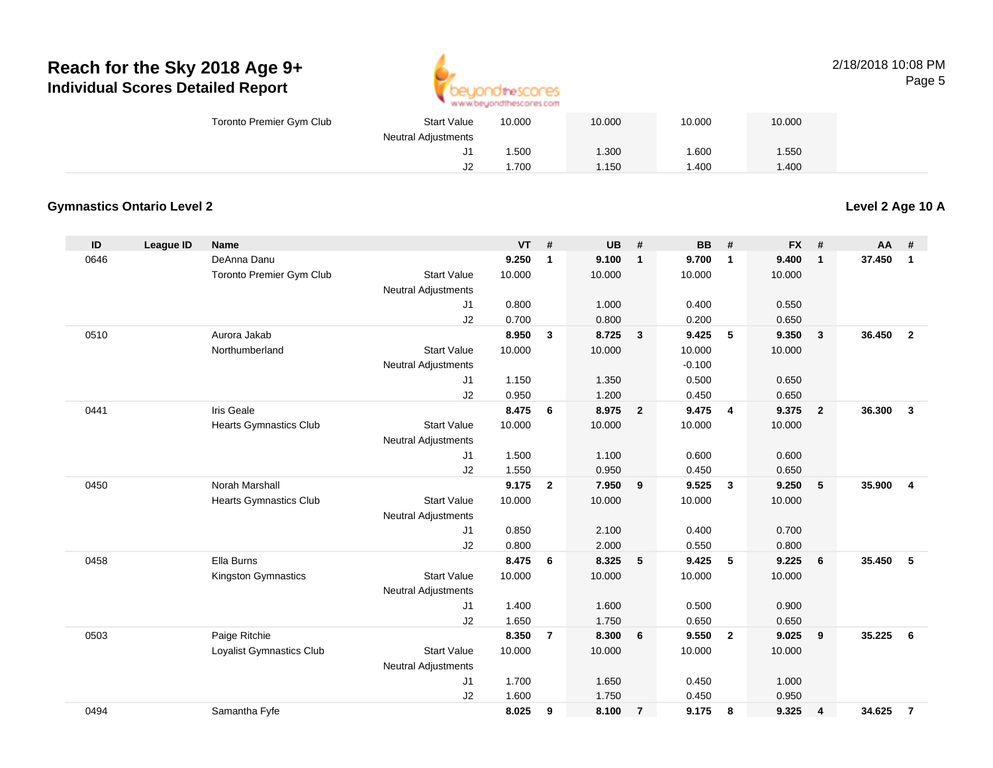

#### 2/18/2018 10:08 PMPage 5

| Toronto Premier Gym Club | <b>Start Value</b>         | 10.000 | 10.000 | 10.000 | 10.000 |  |
|--------------------------|----------------------------|--------|--------|--------|--------|--|
|                          | <b>Neutral Adjustments</b> |        |        |        |        |  |
|                          | J1                         | .500   | .300   | 1.600  | 1.550  |  |
|                          | J2                         | .700   | 1.150  | 1.400  | .400   |  |

### **Gymnastics Ontario Level 2**

**Level 2 Age 10 A**

| ID   | League ID | <b>Name</b>                   |                            | <b>VT</b> | #              | UB     | #              | <b>BB</b> | #                       | <b>FX</b> | #                       | <b>AA</b> | #              |
|------|-----------|-------------------------------|----------------------------|-----------|----------------|--------|----------------|-----------|-------------------------|-----------|-------------------------|-----------|----------------|
| 0646 |           | DeAnna Danu                   |                            | 9.250     | 1              | 9.100  | $\mathbf{1}$   | 9.700     | $\overline{1}$          | 9.400     | $\mathbf{1}$            | 37.450    | $\mathbf{1}$   |
|      |           | Toronto Premier Gym Club      | <b>Start Value</b>         | 10.000    |                | 10.000 |                | 10.000    |                         | 10.000    |                         |           |                |
|      |           |                               | <b>Neutral Adjustments</b> |           |                |        |                |           |                         |           |                         |           |                |
|      |           |                               | J1                         | 0.800     |                | 1.000  |                | 0.400     |                         | 0.550     |                         |           |                |
|      |           |                               | J2                         | 0.700     |                | 0.800  |                | 0.200     |                         | 0.650     |                         |           |                |
| 0510 |           | Aurora Jakab                  |                            | 8.950     | 3              | 8.725  | $\mathbf{3}$   | 9.425     | 5                       | 9.350     | $\overline{\mathbf{3}}$ | 36,450    | $\overline{2}$ |
|      |           | Northumberland                | <b>Start Value</b>         | 10.000    |                | 10.000 |                | 10.000    |                         | 10.000    |                         |           |                |
|      |           |                               | <b>Neutral Adjustments</b> |           |                |        |                | $-0.100$  |                         |           |                         |           |                |
|      |           |                               | J <sub>1</sub>             | 1.150     |                | 1.350  |                | 0.500     |                         | 0.650     |                         |           |                |
|      |           |                               | J2                         | 0.950     |                | 1.200  |                | 0.450     |                         | 0.650     |                         |           |                |
| 0441 |           | Iris Geale                    |                            | 8.475     | 6              | 8.975  | $\overline{2}$ | 9.475     | $\overline{4}$          | 9.375     | $\overline{\mathbf{2}}$ | 36.300    | $\mathbf{3}$   |
|      |           | <b>Hearts Gymnastics Club</b> | <b>Start Value</b>         | 10.000    |                | 10.000 |                | 10.000    |                         | 10.000    |                         |           |                |
|      |           |                               | <b>Neutral Adjustments</b> |           |                |        |                |           |                         |           |                         |           |                |
|      |           |                               | J <sub>1</sub>             | 1.500     |                | 1.100  |                | 0.600     |                         | 0.600     |                         |           |                |
|      |           |                               | J2                         | 1.550     |                | 0.950  |                | 0.450     |                         | 0.650     |                         |           |                |
| 0450 |           | <b>Norah Marshall</b>         |                            | 9.175     | $\overline{2}$ | 7.950  | 9              | 9.525     | $\mathbf{3}$            | 9.250     | 5                       | 35.900    | $\overline{4}$ |
|      |           | <b>Hearts Gymnastics Club</b> | <b>Start Value</b>         | 10.000    |                | 10.000 |                | 10.000    |                         | 10.000    |                         |           |                |
|      |           |                               | <b>Neutral Adjustments</b> |           |                |        |                |           |                         |           |                         |           |                |
|      |           |                               | J1                         | 0.850     |                | 2.100  |                | 0.400     |                         | 0.700     |                         |           |                |
|      |           |                               | J2                         | 0.800     |                | 2.000  |                | 0.550     |                         | 0.800     |                         |           |                |
| 0458 |           | Ella Burns                    |                            | 8.475     | 6              | 8.325  | 5              | 9.425     | 5                       | 9.225     | 6                       | 35.450    | 5              |
|      |           | Kingston Gymnastics           | <b>Start Value</b>         | 10.000    |                | 10.000 |                | 10.000    |                         | 10.000    |                         |           |                |
|      |           |                               | <b>Neutral Adjustments</b> |           |                |        |                |           |                         |           |                         |           |                |
|      |           |                               | J <sub>1</sub>             | 1.400     |                | 1.600  |                | 0.500     |                         | 0.900     |                         |           |                |
|      |           |                               | J2                         | 1.650     |                | 1.750  |                | 0.650     |                         | 0.650     |                         |           |                |
| 0503 |           | Paige Ritchie                 |                            | 8.350     | $\overline{7}$ | 8.300  | 6              | 9.550     | $\overline{\mathbf{2}}$ | 9.025     | 9                       | 35.225    | 6              |
|      |           | Loyalist Gymnastics Club      | <b>Start Value</b>         | 10.000    |                | 10.000 |                | 10.000    |                         | 10.000    |                         |           |                |
|      |           |                               | <b>Neutral Adjustments</b> |           |                |        |                |           |                         |           |                         |           |                |
|      |           |                               | J <sub>1</sub>             | 1.700     |                | 1.650  |                | 0.450     |                         | 1.000     |                         |           |                |
|      |           |                               | J2                         | 1.600     |                | 1.750  |                | 0.450     |                         | 0.950     |                         |           |                |
| 0494 |           | Samantha Fyfe                 |                            | 8.025     | 9              | 8.100  | $\overline{7}$ | 9.175     | 8                       | 9.325     | 4                       | 34.625    | $\overline{7}$ |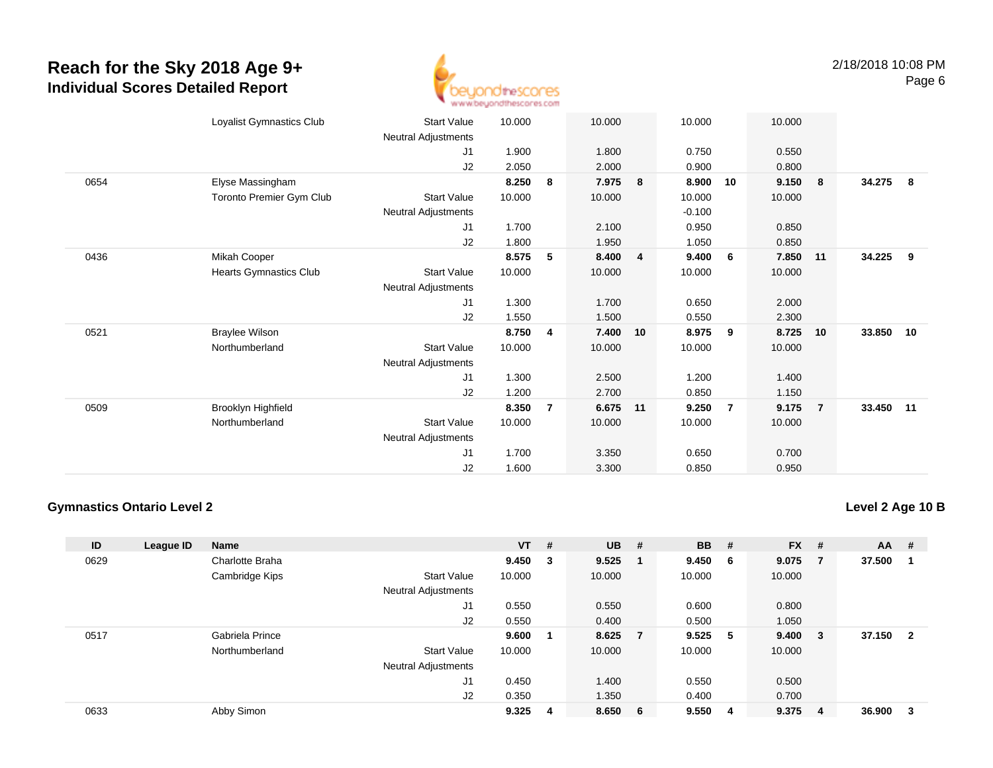

|      | Loyalist Gymnastics Club | <b>Start Value</b>  | 10.000 |                | 10.000   |                | 10.000   |                | 10.000 |                |           |     |
|------|--------------------------|---------------------|--------|----------------|----------|----------------|----------|----------------|--------|----------------|-----------|-----|
|      |                          | Neutral Adjustments |        |                |          |                |          |                |        |                |           |     |
|      |                          | J1                  | 1.900  |                | 1.800    |                | 0.750    |                | 0.550  |                |           |     |
|      |                          | J <sub>2</sub>      | 2.050  |                | 2.000    |                | 0.900    |                | 0.800  |                |           |     |
| 0654 | Elyse Massingham         |                     | 8.250  | 8              | 7.975    | 8              | 8.900    | 10             | 9.150  | 8              | 34.275    | - 8 |
|      | Toronto Premier Gym Club | <b>Start Value</b>  | 10.000 |                | 10.000   |                | 10.000   |                | 10.000 |                |           |     |
|      |                          | Neutral Adjustments |        |                |          |                | $-0.100$ |                |        |                |           |     |
|      |                          | J <sub>1</sub>      | 1.700  |                | 2.100    |                | 0.950    |                | 0.850  |                |           |     |
|      |                          | J2                  | 1.800  |                | 1.950    |                | 1.050    |                | 0.850  |                |           |     |
| 0436 | Mikah Cooper             |                     | 8.575  | 5              | 8.400    | $\overline{4}$ | 9.400    | 6              | 7.850  | 11             | 34.225    | - 9 |
|      | Hearts Gymnastics Club   | <b>Start Value</b>  | 10.000 |                | 10.000   |                | 10.000   |                | 10.000 |                |           |     |
|      |                          | Neutral Adjustments |        |                |          |                |          |                |        |                |           |     |
|      |                          | J1                  | 1.300  |                | 1.700    |                | 0.650    |                | 2.000  |                |           |     |
|      |                          | J2                  | 1.550  |                | 1.500    |                | 0.550    |                | 2.300  |                |           |     |
| 0521 | <b>Braylee Wilson</b>    |                     | 8.750  | 4              | 7.400    | 10             | 8.975    | 9              | 8.725  | 10             | 33.850 10 |     |
|      | Northumberland           | <b>Start Value</b>  | 10.000 |                | 10.000   |                | 10.000   |                | 10.000 |                |           |     |
|      |                          | Neutral Adjustments |        |                |          |                |          |                |        |                |           |     |
|      |                          | J1                  | 1.300  |                | 2.500    |                | 1.200    |                | 1.400  |                |           |     |
|      |                          | J2                  | 1.200  |                | 2.700    |                | 0.850    |                | 1.150  |                |           |     |
| 0509 | Brooklyn Highfield       |                     | 8.350  | $\overline{7}$ | 6.675 11 |                | 9.250    | $\overline{7}$ | 9.175  | $\overline{7}$ | 33.450 11 |     |
|      | Northumberland           | <b>Start Value</b>  | 10.000 |                | 10.000   |                | 10.000   |                | 10.000 |                |           |     |
|      |                          | Neutral Adjustments |        |                |          |                |          |                |        |                |           |     |
|      |                          | J1                  | 1.700  |                | 3.350    |                | 0.650    |                | 0.700  |                |           |     |
|      |                          | J2                  | 1.600  |                | 3.300    |                | 0.850    |                | 0.950  |                |           |     |

#### **Gymnastics Ontario Level 2**

**Level 2 Age 10 B**

| ID   | League ID | <b>Name</b>     |                            | $VT$ # |   | <b>UB</b> | # | <b>BB</b> | #   | <b>FX</b> | #              | <b>AA</b> | #                       |
|------|-----------|-----------------|----------------------------|--------|---|-----------|---|-----------|-----|-----------|----------------|-----------|-------------------------|
| 0629 |           | Charlotte Braha |                            | 9.450  | 3 | 9.525     |   | 9.450     | - 6 | 9.075     | $\overline{7}$ | 37.500    | -1                      |
|      |           | Cambridge Kips  | <b>Start Value</b>         | 10.000 |   | 10.000    |   | 10.000    |     | 10.000    |                |           |                         |
|      |           |                 | <b>Neutral Adjustments</b> |        |   |           |   |           |     |           |                |           |                         |
|      |           |                 | J <sub>1</sub>             | 0.550  |   | 0.550     |   | 0.600     |     | 0.800     |                |           |                         |
|      |           |                 | J2                         | 0.550  |   | 0.400     |   | 0.500     |     | 1.050     |                |           |                         |
| 0517 |           | Gabriela Prince |                            | 9.600  |   | 8.625     |   | 9.525     | - 5 | 9.400     | $_{3}$         | 37.150    | $\overline{\mathbf{2}}$ |
|      |           | Northumberland  | <b>Start Value</b>         | 10.000 |   | 10.000    |   | 10.000    |     | 10.000    |                |           |                         |
|      |           |                 | <b>Neutral Adjustments</b> |        |   |           |   |           |     |           |                |           |                         |
|      |           |                 | J <sub>1</sub>             | 0.450  |   | 1.400     |   | 0.550     |     | 0.500     |                |           |                         |
|      |           |                 | J2                         | 0.350  |   | 1.350     |   | 0.400     |     | 0.700     |                |           |                         |
| 0633 |           | Abby Simon      |                            | 9.325  | 4 | 8.650     | 6 | 9.550     | -4  | 9.375     | -4             | 36.900    | -3                      |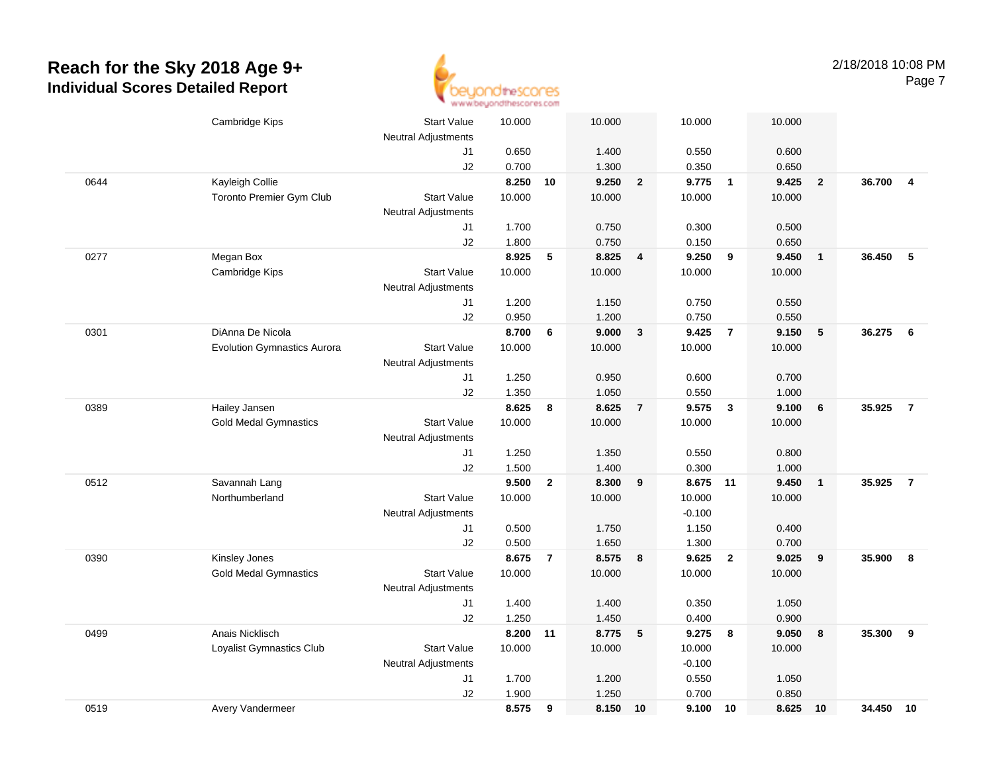

|      | Cambridge Kips                     | <b>Start Value</b>         | 10.000         |                | 10.000         |                         | 10.000             |                         | 10.000         |                         |        |                |
|------|------------------------------------|----------------------------|----------------|----------------|----------------|-------------------------|--------------------|-------------------------|----------------|-------------------------|--------|----------------|
|      |                                    | <b>Neutral Adjustments</b> |                |                |                |                         |                    |                         |                |                         |        |                |
|      |                                    | J1                         | 0.650          |                | 1.400          |                         | 0.550              |                         | 0.600          |                         |        |                |
|      |                                    | J2                         | 0.700          |                | 1.300          |                         | 0.350              |                         | 0.650          |                         |        |                |
| 0644 | Kayleigh Collie                    |                            | 8.250          | 10             | 9.250          | $\overline{\mathbf{2}}$ | 9.775              | $\overline{1}$          | 9.425          | $\overline{2}$          | 36.700 | $\overline{4}$ |
|      | Toronto Premier Gym Club           | <b>Start Value</b>         | 10.000         |                | 10.000         |                         | 10.000             |                         | 10.000         |                         |        |                |
|      |                                    | <b>Neutral Adjustments</b> |                |                |                |                         |                    |                         |                |                         |        |                |
|      |                                    | J1                         | 1.700          |                | 0.750          |                         | 0.300              |                         | 0.500          |                         |        |                |
|      |                                    | J2                         | 1.800          |                | 0.750          |                         | 0.150              |                         | 0.650          |                         |        |                |
| 0277 | Megan Box                          |                            | 8.925          | 5              | 8.825          | 4                       | 9.250              | 9                       | 9.450          | $\overline{1}$          | 36.450 | -5             |
|      | Cambridge Kips                     | <b>Start Value</b>         | 10.000         |                | 10.000         |                         | 10.000             |                         | 10.000         |                         |        |                |
|      |                                    | <b>Neutral Adjustments</b> |                |                |                |                         |                    |                         |                |                         |        |                |
|      |                                    | J1                         | 1.200          |                | 1.150          |                         | 0.750              |                         | 0.550          |                         |        |                |
|      |                                    | J2                         | 0.950          |                | 1.200          |                         | 0.750              |                         | 0.550          |                         |        |                |
| 0301 | DiAnna De Nicola                   |                            | 8.700          | 6              | 9.000          | $\mathbf{3}$            | 9.425              | $\overline{7}$          | 9.150          | $\sqrt{5}$              | 36.275 | - 6            |
|      | <b>Evolution Gymnastics Aurora</b> | <b>Start Value</b>         | 10.000         |                | 10.000         |                         | 10.000             |                         | 10.000         |                         |        |                |
|      |                                    | <b>Neutral Adjustments</b> |                |                |                |                         |                    |                         |                |                         |        |                |
|      |                                    | J1                         | 1.250          |                | 0.950          |                         | 0.600              |                         | 0.700          |                         |        |                |
|      |                                    | J2                         | 1.350          |                | 1.050          |                         | 0.550              |                         | 1.000          |                         |        |                |
| 0389 | Hailey Jansen                      |                            | 8.625          | 8              | 8.625          | $\overline{7}$          | 9.575              | $\overline{\mathbf{3}}$ | 9.100          | 6                       | 35.925 | $\overline{7}$ |
|      | <b>Gold Medal Gymnastics</b>       | <b>Start Value</b>         | 10.000         |                | 10.000         |                         | 10.000             |                         | 10.000         |                         |        |                |
|      |                                    | <b>Neutral Adjustments</b> |                |                |                |                         |                    |                         |                |                         |        |                |
|      |                                    | J1                         | 1.250          |                | 1.350          |                         | 0.550              |                         | 0.800          |                         |        |                |
|      |                                    | J2                         | 1.500          |                | 1.400          |                         | 0.300              |                         | 1.000          |                         |        |                |
| 0512 | Savannah Lang                      |                            | 9.500          | $\mathbf{2}$   | 8.300          | 9                       | 8.675              | 11                      | 9.450          | $\overline{\mathbf{1}}$ | 35.925 | $\overline{7}$ |
|      | Northumberland                     | <b>Start Value</b>         | 10.000         |                | 10.000         |                         | 10.000             |                         | 10.000         |                         |        |                |
|      |                                    | <b>Neutral Adjustments</b> |                |                |                |                         | $-0.100$           |                         |                |                         |        |                |
|      |                                    | J1                         | 0.500          |                | 1.750          |                         | 1.150              |                         | 0.400          |                         |        |                |
|      |                                    | J2                         | 0.500          |                | 1.650          |                         | 1.300              |                         | 0.700          |                         |        |                |
| 0390 | Kinsley Jones                      |                            | 8.675          | $\overline{7}$ | 8.575          | 8                       | 9.625              | $\overline{2}$          | 9.025          | 9                       | 35.900 | 8              |
|      | <b>Gold Medal Gymnastics</b>       | <b>Start Value</b>         | 10.000         |                | 10.000         |                         | 10.000             |                         | 10.000         |                         |        |                |
|      |                                    | <b>Neutral Adjustments</b> |                |                |                |                         |                    |                         |                |                         |        |                |
|      |                                    | J1                         | 1.400          |                | 1.400          |                         | 0.350              |                         | 1.050          |                         |        |                |
|      |                                    | J2                         | 1.250          |                | 1.450<br>8.775 |                         | 0.400              |                         | 0.900<br>9.050 |                         | 35.300 | 9              |
| 0499 | Anais Nicklisch                    |                            | 8.200          | 11             |                | 5                       | 9.275              | 8                       |                | $\pmb{8}$               |        |                |
|      | Loyalist Gymnastics Club           | <b>Start Value</b>         | 10.000         |                | 10.000         |                         | 10.000<br>$-0.100$ |                         | 10.000         |                         |        |                |
|      |                                    | <b>Neutral Adjustments</b> |                |                |                |                         | 0.550              |                         |                |                         |        |                |
|      |                                    | J1<br>J2                   | 1.700<br>1.900 |                | 1.200<br>1.250 |                         | 0.700              |                         | 1.050<br>0.850 |                         |        |                |
| 0519 |                                    |                            | 8.575          | 9              | 8.150          | 10                      | 9.100              | 10                      | 8.625          | 10                      | 34.450 | 10             |
|      | Avery Vandermeer                   |                            |                |                |                |                         |                    |                         |                |                         |        |                |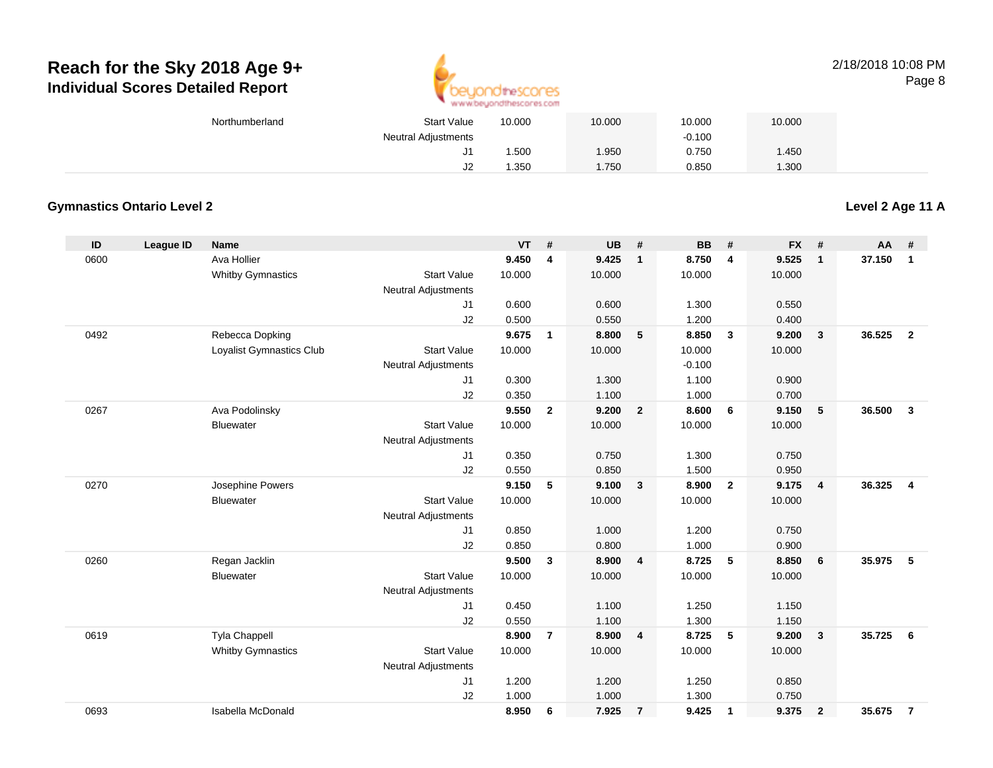

#### 2/18/2018 10:08 PMPage 8

| Northumberland | <b>Start Value</b>         | 10.000 | 10.000      | 10.000   | 10.000 |  |
|----------------|----------------------------|--------|-------------|----------|--------|--|
|                | <b>Neutral Adjustments</b> |        |             | $-0.100$ |        |  |
|                | J1                         | .500   | <b>.950</b> | 0.750    | .450   |  |
|                | J <sub>2</sub>             | .350   | .750        | 0.850    | .300   |  |

### **Gymnastics Ontario Level 2**

**Level 2 Age 11 A**

| ID   | League ID | <b>Name</b>              |                            | <b>VT</b> | #              | <b>UB</b> | #                       | <b>BB</b> | #                       | <b>FX</b> | #                       | <b>AA</b> | #                       |
|------|-----------|--------------------------|----------------------------|-----------|----------------|-----------|-------------------------|-----------|-------------------------|-----------|-------------------------|-----------|-------------------------|
| 0600 |           | Ava Hollier              |                            | 9.450     | $\overline{4}$ | 9.425     | $\mathbf{1}$            | 8.750     | 4                       | 9.525     | $\mathbf{1}$            | 37.150    | $\mathbf{1}$            |
|      |           | <b>Whitby Gymnastics</b> | <b>Start Value</b>         | 10.000    |                | 10.000    |                         | 10.000    |                         | 10.000    |                         |           |                         |
|      |           |                          | <b>Neutral Adjustments</b> |           |                |           |                         |           |                         |           |                         |           |                         |
|      |           |                          | J1                         | 0.600     |                | 0.600     |                         | 1.300     |                         | 0.550     |                         |           |                         |
|      |           |                          | J2                         | 0.500     |                | 0.550     |                         | 1.200     |                         | 0.400     |                         |           |                         |
| 0492 |           | Rebecca Dopking          |                            | 9.675     | $\mathbf{1}$   | 8.800     | 5                       | 8.850     | $\overline{\mathbf{3}}$ | 9.200     | $\mathbf{3}$            | 36.525    | $\overline{2}$          |
|      |           | Loyalist Gymnastics Club | <b>Start Value</b>         | 10.000    |                | 10.000    |                         | 10.000    |                         | 10.000    |                         |           |                         |
|      |           |                          | <b>Neutral Adjustments</b> |           |                |           |                         | $-0.100$  |                         |           |                         |           |                         |
|      |           |                          | J1                         | 0.300     |                | 1.300     |                         | 1.100     |                         | 0.900     |                         |           |                         |
|      |           |                          | J2                         | 0.350     |                | 1.100     |                         | 1.000     |                         | 0.700     |                         |           |                         |
| 0267 |           | Ava Podolinsky           |                            | 9.550     | $\overline{2}$ | 9.200     | $\overline{2}$          | 8.600     | 6                       | 9.150     | 5                       | 36.500    | $\mathbf{3}$            |
|      |           | <b>Bluewater</b>         | <b>Start Value</b>         | 10.000    |                | 10.000    |                         | 10.000    |                         | 10.000    |                         |           |                         |
|      |           |                          | <b>Neutral Adjustments</b> |           |                |           |                         |           |                         |           |                         |           |                         |
|      |           |                          | J1                         | 0.350     |                | 0.750     |                         | 1.300     |                         | 0.750     |                         |           |                         |
|      |           |                          | J2                         | 0.550     |                | 0.850     |                         | 1.500     |                         | 0.950     |                         |           |                         |
| 0270 |           | Josephine Powers         |                            | 9.150     | 5              | 9.100     | $\overline{\mathbf{3}}$ | 8.900     | $\overline{\mathbf{2}}$ | 9.175     | $\overline{4}$          | 36.325    | $\overline{\mathbf{4}}$ |
|      |           | Bluewater                | <b>Start Value</b>         | 10.000    |                | 10.000    |                         | 10.000    |                         | 10.000    |                         |           |                         |
|      |           |                          | <b>Neutral Adjustments</b> |           |                |           |                         |           |                         |           |                         |           |                         |
|      |           |                          | J1                         | 0.850     |                | 1.000     |                         | 1.200     |                         | 0.750     |                         |           |                         |
|      |           |                          | J2                         | 0.850     |                | 0.800     |                         | 1.000     |                         | 0.900     |                         |           |                         |
| 0260 |           | Regan Jacklin            |                            | 9.500     | $\mathbf{3}$   | 8.900     | $\overline{\mathbf{4}}$ | 8.725     | 5                       | 8.850     | 6                       | 35.975    | 5                       |
|      |           | <b>Bluewater</b>         | <b>Start Value</b>         | 10.000    |                | 10.000    |                         | 10.000    |                         | 10.000    |                         |           |                         |
|      |           |                          | <b>Neutral Adjustments</b> |           |                |           |                         |           |                         |           |                         |           |                         |
|      |           |                          | J1                         | 0.450     |                | 1.100     |                         | 1.250     |                         | 1.150     |                         |           |                         |
|      |           |                          | J2                         | 0.550     |                | 1.100     |                         | 1.300     |                         | 1.150     |                         |           |                         |
| 0619 |           | Tyla Chappell            |                            | 8.900     | $\overline{7}$ | 8.900     | $\overline{4}$          | 8.725     | 5                       | 9.200     | $\overline{\mathbf{3}}$ | 35.725    | 6                       |
|      |           | <b>Whitby Gymnastics</b> | <b>Start Value</b>         | 10.000    |                | 10.000    |                         | 10.000    |                         | 10.000    |                         |           |                         |
|      |           |                          | <b>Neutral Adjustments</b> |           |                |           |                         |           |                         |           |                         |           |                         |
|      |           |                          | J1                         | 1.200     |                | 1.200     |                         | 1.250     |                         | 0.850     |                         |           |                         |
|      |           |                          | J2                         | 1.000     |                | 1.000     |                         | 1.300     |                         | 0.750     |                         |           |                         |
| 0693 |           | Isabella McDonald        |                            | 8.950     | 6              | 7.925     | $\overline{7}$          | 9.425     | $\overline{\mathbf{1}}$ | 9.375     | $\overline{2}$          | 35.675    | $\overline{7}$          |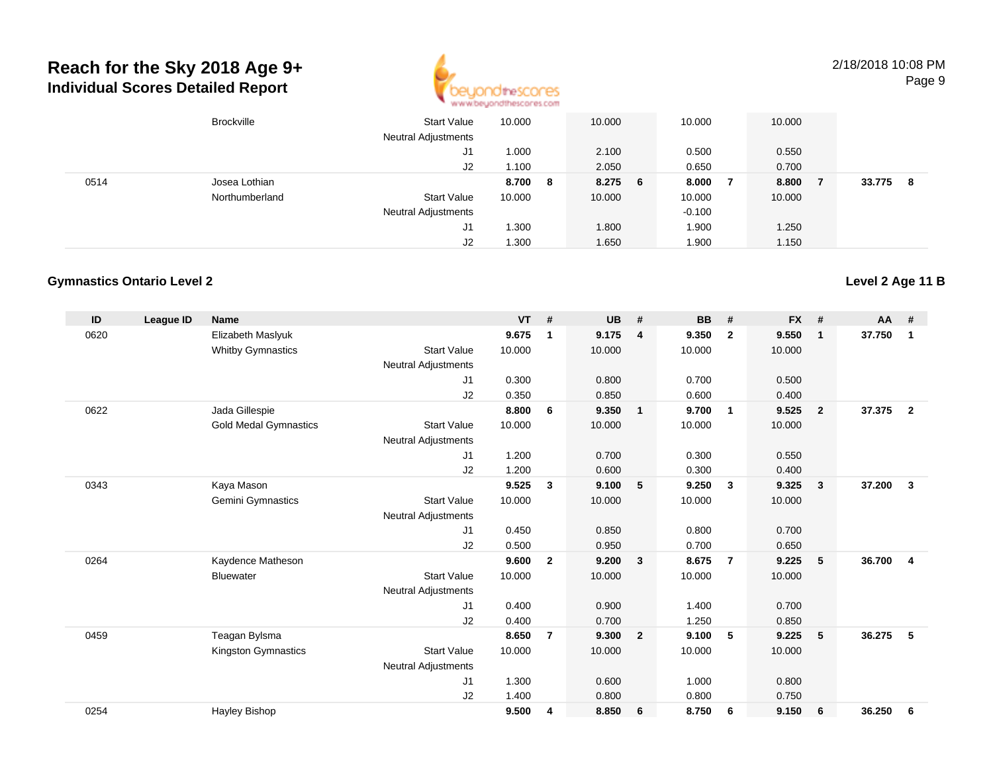

2/18/2018 10:08 PMPage 9

|      | <b>Brockville</b> | <b>Start Value</b><br><b>Neutral Adjustments</b> | 10.000   | 10.000  | 10.000   | 10.000       |        |    |
|------|-------------------|--------------------------------------------------|----------|---------|----------|--------------|--------|----|
|      |                   | J1                                               | 000.1    | 2.100   | 0.500    | 0.550        |        |    |
|      |                   | J2                                               | 1.00 ، ا | 2.050   | 0.650    | 0.700        |        |    |
| 0514 | Josea Lothian     |                                                  | 8.700 8  | 8.275 6 | 8.000    | 8.800<br>- 7 | 33.775 | -8 |
|      | Northumberland    | <b>Start Value</b>                               | 10.000   | 10.000  | 10.000   | 10.000       |        |    |
|      |                   | <b>Neutral Adjustments</b>                       |          |         | $-0.100$ |              |        |    |
|      |                   | J1                                               | .300     | 1.800   | 1.900    | 1.250        |        |    |
|      |                   | J2                                               | 1.300    | 1.650   | 1.900    | 1.150        |        |    |

#### **Gymnastics Ontario Level 2**

| ID   | <b>League ID</b> | <b>Name</b>                  |                            | <b>VT</b> | #              | <b>UB</b> | #                       | <b>BB</b> | #                       | <b>FX</b> | #                       | <b>AA</b> | #              |
|------|------------------|------------------------------|----------------------------|-----------|----------------|-----------|-------------------------|-----------|-------------------------|-----------|-------------------------|-----------|----------------|
| 0620 |                  | Elizabeth Maslyuk            |                            | 9.675     | $\mathbf 1$    | 9.175     | 4                       | 9.350     | $\overline{2}$          | 9.550     | $\mathbf{1}$            | 37.750    | $\mathbf{1}$   |
|      |                  | <b>Whitby Gymnastics</b>     | <b>Start Value</b>         | 10.000    |                | 10.000    |                         | 10.000    |                         | 10.000    |                         |           |                |
|      |                  |                              | <b>Neutral Adjustments</b> |           |                |           |                         |           |                         |           |                         |           |                |
|      |                  |                              | J1                         | 0.300     |                | 0.800     |                         | 0.700     |                         | 0.500     |                         |           |                |
|      |                  |                              | J2                         | 0.350     |                | 0.850     |                         | 0.600     |                         | 0.400     |                         |           |                |
| 0622 |                  | Jada Gillespie               |                            | 8.800     | 6              | 9.350     | $\overline{1}$          | 9.700     | $\overline{1}$          | 9.525     | $\overline{2}$          | 37.375    | $\overline{2}$ |
|      |                  | <b>Gold Medal Gymnastics</b> | <b>Start Value</b>         | 10.000    |                | 10.000    |                         | 10.000    |                         | 10.000    |                         |           |                |
|      |                  |                              | <b>Neutral Adjustments</b> |           |                |           |                         |           |                         |           |                         |           |                |
|      |                  |                              | J1                         | 1.200     |                | 0.700     |                         | 0.300     |                         | 0.550     |                         |           |                |
|      |                  |                              | J2                         | 1.200     |                | 0.600     |                         | 0.300     |                         | 0.400     |                         |           |                |
| 0343 |                  | Kaya Mason                   |                            | 9.525     | 3              | 9.100     | 5                       | 9.250     | $\overline{\mathbf{3}}$ | 9.325     | $\overline{\mathbf{3}}$ | 37.200    | 3              |
|      |                  | Gemini Gymnastics            | <b>Start Value</b>         | 10.000    |                | 10.000    |                         | 10.000    |                         | 10.000    |                         |           |                |
|      |                  |                              | <b>Neutral Adjustments</b> |           |                |           |                         |           |                         |           |                         |           |                |
|      |                  |                              | J <sub>1</sub>             | 0.450     |                | 0.850     |                         | 0.800     |                         | 0.700     |                         |           |                |
|      |                  |                              | J2                         | 0.500     |                | 0.950     |                         | 0.700     |                         | 0.650     |                         |           |                |
| 0264 |                  | Kaydence Matheson            |                            | 9.600     | $\mathbf{2}$   | 9.200     | $\overline{\mathbf{3}}$ | 8.675     | $\overline{7}$          | 9.225     | 5                       | 36.700    | $\overline{4}$ |
|      |                  | <b>Bluewater</b>             | <b>Start Value</b>         | 10.000    |                | 10.000    |                         | 10.000    |                         | 10.000    |                         |           |                |
|      |                  |                              | <b>Neutral Adjustments</b> |           |                |           |                         |           |                         |           |                         |           |                |
|      |                  |                              | J <sub>1</sub>             | 0.400     |                | 0.900     |                         | 1.400     |                         | 0.700     |                         |           |                |
|      |                  |                              | J2                         | 0.400     |                | 0.700     |                         | 1.250     |                         | 0.850     |                         |           |                |
| 0459 |                  | Teagan Bylsma                |                            | 8.650     | $\overline{7}$ | 9.300     | $\overline{\mathbf{2}}$ | 9.100     | 5                       | 9.225     | 5                       | 36.275    | 5              |
|      |                  | Kingston Gymnastics          | <b>Start Value</b>         | 10.000    |                | 10.000    |                         | 10.000    |                         | 10.000    |                         |           |                |
|      |                  |                              | <b>Neutral Adjustments</b> |           |                |           |                         |           |                         |           |                         |           |                |
|      |                  |                              | J <sub>1</sub>             | 1.300     |                | 0.600     |                         | 1.000     |                         | 0.800     |                         |           |                |
|      |                  |                              | J2                         | 1.400     |                | 0.800     |                         | 0.800     |                         | 0.750     |                         |           |                |
| 0254 |                  | Hayley Bishop                |                            | 9.500     | 4              | 8.850     | - 6                     | 8.750     | 6                       | 9.150     | 6                       | 36.250    | 6              |
|      |                  |                              |                            |           |                |           |                         |           |                         |           |                         |           |                |

### **Level 2 Age 11 B**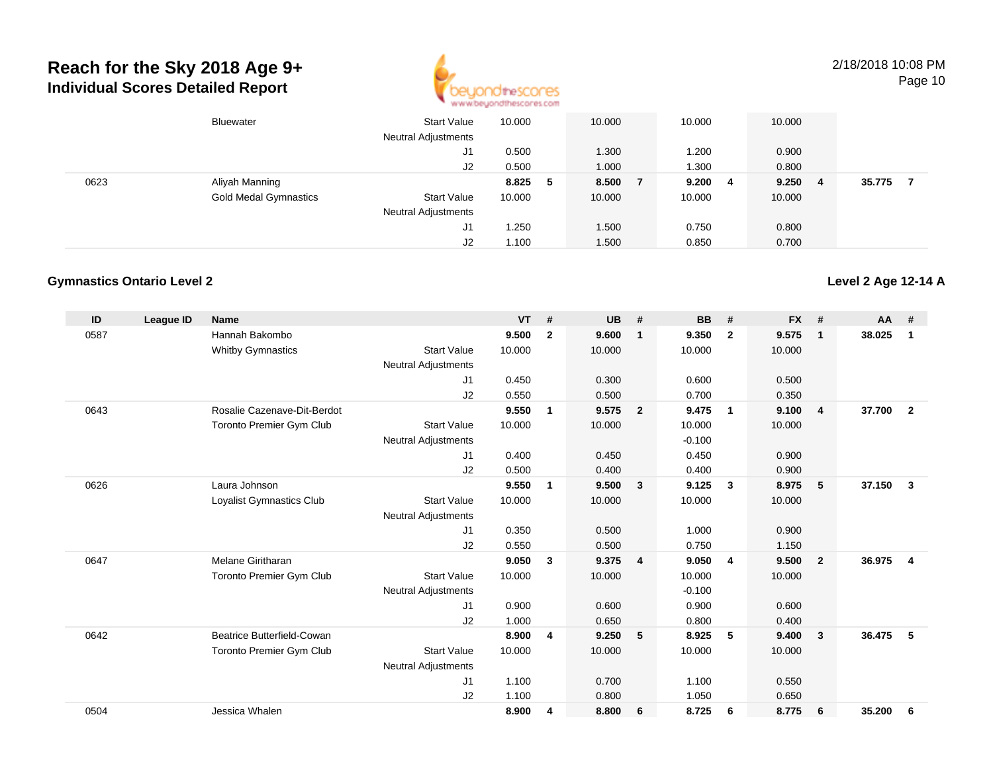

2/18/2018 10:08 PMPage 10

|      | Bluewater                    | Start Value<br><b>Neutral Adjustments</b> | 10.000 |   | 10.000 | 10.000 |     | 10.000 |   |        |  |
|------|------------------------------|-------------------------------------------|--------|---|--------|--------|-----|--------|---|--------|--|
|      |                              | J1                                        | 0.500  |   | 1.300  | 1.200  |     | 0.900  |   |        |  |
|      |                              | J2                                        | 0.500  |   | 1.000  | 1.300  |     | 0.800  |   |        |  |
| 0623 | Aliyah Manning               |                                           | 8.825  | 5 | 8.500  | 9.200  | - 4 | 9.250  | 4 | 35.775 |  |
|      | <b>Gold Medal Gymnastics</b> | <b>Start Value</b>                        | 10.000 |   | 10.000 | 10.000 |     | 10.000 |   |        |  |
|      |                              | <b>Neutral Adjustments</b>                |        |   |        |        |     |        |   |        |  |
|      |                              | J1                                        | 1.250  |   | 1.500  | 0.750  |     | 0.800  |   |        |  |
|      |                              | J2                                        | 1.100  |   | 1.500  | 0.850  |     | 0.700  |   |        |  |

### **Gymnastics Ontario Level 2**

| ID   | League ID | <b>Name</b>                       |                            | $VT$ # |              | <b>UB</b> | #                       | <b>BB</b> | #                       | <b>FX</b> | #              | <b>AA</b> | #                       |
|------|-----------|-----------------------------------|----------------------------|--------|--------------|-----------|-------------------------|-----------|-------------------------|-----------|----------------|-----------|-------------------------|
| 0587 |           | Hannah Bakombo                    |                            | 9.500  | $\mathbf{2}$ | 9.600     | $\mathbf{1}$            | 9.350     | $\overline{2}$          | 9.575     | $\mathbf 1$    | 38.025    | 1                       |
|      |           | <b>Whitby Gymnastics</b>          | <b>Start Value</b>         | 10.000 |              | 10.000    |                         | 10.000    |                         | 10.000    |                |           |                         |
|      |           |                                   | <b>Neutral Adjustments</b> |        |              |           |                         |           |                         |           |                |           |                         |
|      |           |                                   | J1                         | 0.450  |              | 0.300     |                         | 0.600     |                         | 0.500     |                |           |                         |
|      |           |                                   | J2                         | 0.550  |              | 0.500     |                         | 0.700     |                         | 0.350     |                |           |                         |
| 0643 |           | Rosalie Cazenave-Dit-Berdot       |                            | 9.550  | $\mathbf{1}$ | 9.575     | $\overline{\mathbf{2}}$ | 9.475     | $\overline{\mathbf{1}}$ | 9.100     | $\overline{4}$ | 37.700    | $\overline{2}$          |
|      |           | Toronto Premier Gym Club          | <b>Start Value</b>         | 10.000 |              | 10.000    |                         | 10.000    |                         | 10.000    |                |           |                         |
|      |           |                                   | <b>Neutral Adjustments</b> |        |              |           |                         | $-0.100$  |                         |           |                |           |                         |
|      |           |                                   | J <sub>1</sub>             | 0.400  |              | 0.450     |                         | 0.450     |                         | 0.900     |                |           |                         |
|      |           |                                   | J2                         | 0.500  |              | 0.400     |                         | 0.400     |                         | 0.900     |                |           |                         |
| 0626 |           | Laura Johnson                     |                            | 9.550  | 1            | 9.500     | $\mathbf{3}$            | 9.125     | 3                       | 8.975     | 5              | 37.150    | 3                       |
|      |           | Loyalist Gymnastics Club          | <b>Start Value</b>         | 10.000 |              | 10.000    |                         | 10.000    |                         | 10.000    |                |           |                         |
|      |           |                                   | <b>Neutral Adjustments</b> |        |              |           |                         |           |                         |           |                |           |                         |
|      |           |                                   | J <sub>1</sub>             | 0.350  |              | 0.500     |                         | 1.000     |                         | 0.900     |                |           |                         |
|      |           |                                   | J <sub>2</sub>             | 0.550  |              | 0.500     |                         | 0.750     |                         | 1.150     |                |           |                         |
| 0647 |           | <b>Melane Giritharan</b>          |                            | 9.050  | 3            | 9.375     | $\overline{4}$          | 9.050     | $\overline{4}$          | 9.500     | $\overline{2}$ | 36.975    | $\overline{\mathbf{4}}$ |
|      |           | <b>Toronto Premier Gym Club</b>   | <b>Start Value</b>         | 10.000 |              | 10.000    |                         | 10.000    |                         | 10.000    |                |           |                         |
|      |           |                                   | <b>Neutral Adjustments</b> |        |              |           |                         | $-0.100$  |                         |           |                |           |                         |
|      |           |                                   | J <sub>1</sub>             | 0.900  |              | 0.600     |                         | 0.900     |                         | 0.600     |                |           |                         |
|      |           |                                   | J2                         | 1.000  |              | 0.650     |                         | 0.800     |                         | 0.400     |                |           |                         |
| 0642 |           | <b>Beatrice Butterfield-Cowan</b> |                            | 8.900  | 4            | 9.250     | 5                       | 8.925     | 5                       | 9.400     | 3              | 36.475    | 5                       |
|      |           | <b>Toronto Premier Gym Club</b>   | <b>Start Value</b>         | 10.000 |              | 10.000    |                         | 10.000    |                         | 10.000    |                |           |                         |
|      |           |                                   | <b>Neutral Adjustments</b> |        |              |           |                         |           |                         |           |                |           |                         |
|      |           |                                   | J <sub>1</sub>             | 1.100  |              | 0.700     |                         | 1.100     |                         | 0.550     |                |           |                         |
|      |           |                                   | J2                         | 1.100  |              | 0.800     |                         | 1.050     |                         | 0.650     |                |           |                         |
| 0504 |           | Jessica Whalen                    |                            | 8.900  | 4            | 8.800     | 6                       | 8.725     | 6                       | 8.775     | 6              | 35.200    | 6                       |
|      |           |                                   |                            |        |              |           |                         |           |                         |           |                |           |                         |

**Level 2 Age 12-14 A**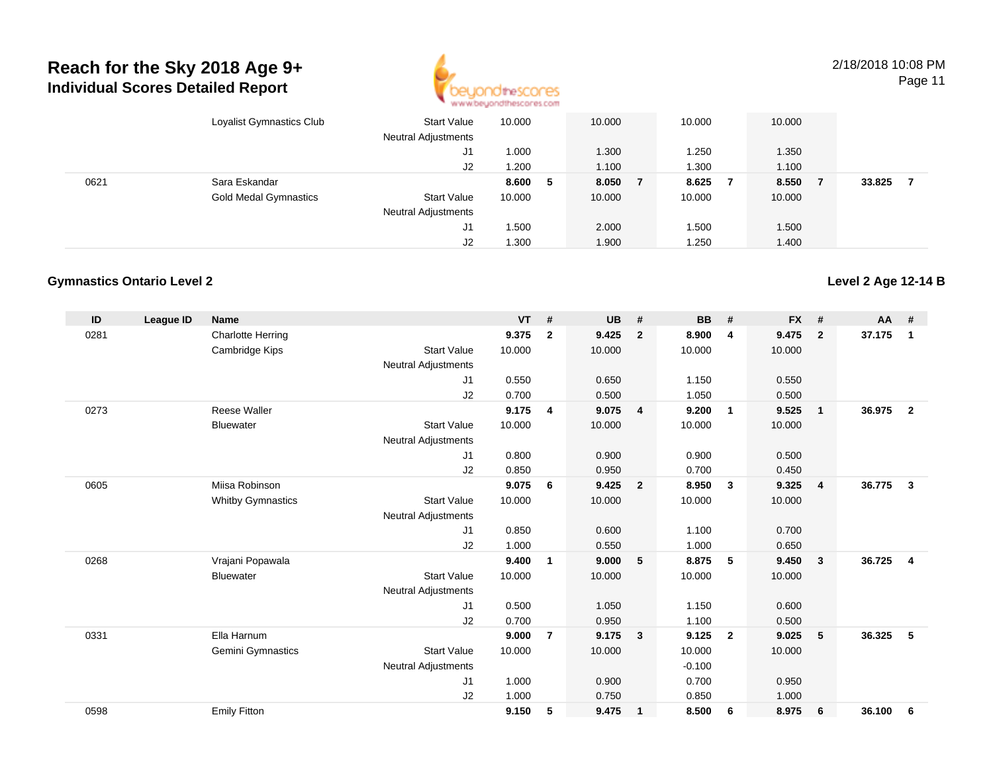

2/18/2018 10:08 PM

**Level 2 Age 12-14 B**

Page 11

|      | Loyalist Gymnastics Club     | <b>Start Value</b><br>Neutral Adjustments | 10.000 |   | 10.000 | 10.000 | 10.000       |        |  |
|------|------------------------------|-------------------------------------------|--------|---|--------|--------|--------------|--------|--|
|      |                              | J1                                        | 1.000  |   | 1.300  | 1.250  | 1.350        |        |  |
|      |                              | J2                                        | 1.200  |   | 1.100  | 1.300  | 1.100        |        |  |
| 0621 | Sara Eskandar                |                                           | 8.600  | 5 | 8.050  | 8.625  | 8.550<br>- 7 | 33.825 |  |
|      | <b>Gold Medal Gymnastics</b> | <b>Start Value</b>                        | 10.000 |   | 10.000 | 10.000 | 10.000       |        |  |
|      |                              | <b>Neutral Adjustments</b>                |        |   |        |        |              |        |  |
|      |                              | J1                                        | .500   |   | 2.000  | 1.500  | 1.500        |        |  |
|      |                              | J2                                        | 1.300  |   | 1.900  | 1.250  | 1.400        |        |  |

### **Gymnastics Ontario Level 2**

| ID   | <b>League ID</b> | <b>Name</b>              |                            | <b>VT</b> | #                       | <b>UB</b> | #                       | <b>BB</b> | #                       | <b>FX</b> | #              | <b>AA</b> | #              |
|------|------------------|--------------------------|----------------------------|-----------|-------------------------|-----------|-------------------------|-----------|-------------------------|-----------|----------------|-----------|----------------|
| 0281 |                  | <b>Charlotte Herring</b> |                            | 9.375     | $\mathbf{2}$            | 9.425     | $\overline{2}$          | 8.900     | $\overline{4}$          | 9.475     | $\overline{2}$ | 37.175    | 1              |
|      |                  | Cambridge Kips           | <b>Start Value</b>         | 10.000    |                         | 10.000    |                         | 10.000    |                         | 10.000    |                |           |                |
|      |                  |                          | <b>Neutral Adjustments</b> |           |                         |           |                         |           |                         |           |                |           |                |
|      |                  |                          | J1                         | 0.550     |                         | 0.650     |                         | 1.150     |                         | 0.550     |                |           |                |
|      |                  |                          | J2                         | 0.700     |                         | 0.500     |                         | 1.050     |                         | 0.500     |                |           |                |
| 0273 |                  | <b>Reese Waller</b>      |                            | 9.175     | $\overline{\mathbf{4}}$ | 9.075     | $\overline{4}$          | 9.200     | $\overline{1}$          | 9.525     | $\mathbf{1}$   | 36.975    | $\overline{2}$ |
|      |                  | <b>Bluewater</b>         | <b>Start Value</b>         | 10.000    |                         | 10.000    |                         | 10.000    |                         | 10.000    |                |           |                |
|      |                  |                          | <b>Neutral Adjustments</b> |           |                         |           |                         |           |                         |           |                |           |                |
|      |                  |                          | J1                         | 0.800     |                         | 0.900     |                         | 0.900     |                         | 0.500     |                |           |                |
|      |                  |                          | J2                         | 0.850     |                         | 0.950     |                         | 0.700     |                         | 0.450     |                |           |                |
| 0605 |                  | Miisa Robinson           |                            | 9.075     | 6                       | 9.425     | $\overline{2}$          | 8.950     | $\overline{\mathbf{3}}$ | 9.325     | $\overline{4}$ | 36.775    | $\mathbf{3}$   |
|      |                  | <b>Whitby Gymnastics</b> | <b>Start Value</b>         | 10.000    |                         | 10.000    |                         | 10.000    |                         | 10.000    |                |           |                |
|      |                  |                          | <b>Neutral Adjustments</b> |           |                         |           |                         |           |                         |           |                |           |                |
|      |                  |                          | J1                         | 0.850     |                         | 0.600     |                         | 1.100     |                         | 0.700     |                |           |                |
|      |                  |                          | J2                         | 1.000     |                         | 0.550     |                         | 1.000     |                         | 0.650     |                |           |                |
| 0268 |                  | Vrajani Popawala         |                            | 9.400     | 1                       | 9.000     | 5                       | 8.875     | 5                       | 9.450     | 3              | 36.725    | $\overline{4}$ |
|      |                  | <b>Bluewater</b>         | <b>Start Value</b>         | 10.000    |                         | 10.000    |                         | 10.000    |                         | 10.000    |                |           |                |
|      |                  |                          | <b>Neutral Adjustments</b> |           |                         |           |                         |           |                         |           |                |           |                |
|      |                  |                          | J1                         | 0.500     |                         | 1.050     |                         | 1.150     |                         | 0.600     |                |           |                |
|      |                  |                          | J2                         | 0.700     |                         | 0.950     |                         | 1.100     |                         | 0.500     |                |           |                |
| 0331 |                  | Ella Harnum              |                            | 9.000     | $\overline{7}$          | 9.175     | $\overline{\mathbf{3}}$ | 9.125     | $\overline{\mathbf{2}}$ | 9.025     | 5              | 36.325    | 5              |
|      |                  | Gemini Gymnastics        | <b>Start Value</b>         | 10.000    |                         | 10.000    |                         | 10.000    |                         | 10.000    |                |           |                |
|      |                  |                          | <b>Neutral Adjustments</b> |           |                         |           |                         | $-0.100$  |                         |           |                |           |                |
|      |                  |                          | J <sub>1</sub>             | 1.000     |                         | 0.900     |                         | 0.700     |                         | 0.950     |                |           |                |
|      |                  |                          | J2                         | 1.000     |                         | 0.750     |                         | 0.850     |                         | 1.000     |                |           |                |
| 0598 |                  | <b>Emily Fitton</b>      |                            | 9.150     | 5                       | 9.475     | $\overline{1}$          | 8.500     | 6                       | 8.975     | 6              | 36.100    | 6              |
|      |                  |                          |                            |           |                         |           |                         |           |                         |           |                |           |                |